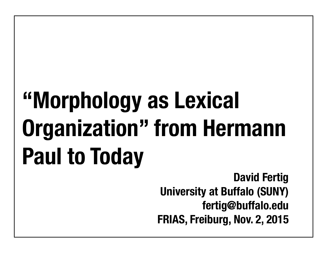# **"Morphology as Lexical Organization" from Hermann Paul to Today**

**David Fertig University at Buffalo (SUNY) fertig@buffalo.edu FRIAS, Freiburg, Nov. 2, 2015**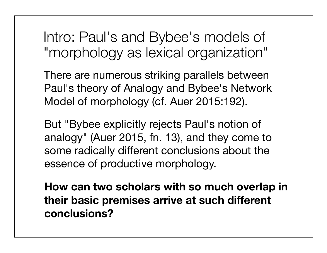Intro: Paul's and Bybee's models of "morphology as lexical organization"

There are numerous striking parallels between Paul's theory of Analogy and Bybee's Network Model of morphology (cf. Auer 2015:192).

But "Bybee explicitly rejects Paul's notion of analogy" (Auer 2015, fn. 13), and they come to some radically different conclusions about the essence of productive morphology.

**How can two scholars with so much overlap in their basic premises arrive at such different conclusions?**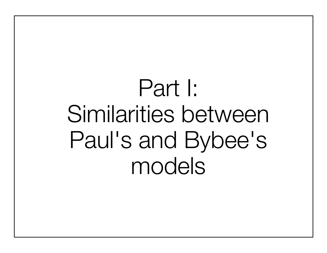# Part I: Similarities between Paul's and Bybee's models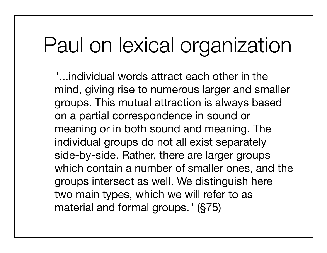## Paul on lexical organization

"...individual words attract each other in the mind, giving rise to numerous larger and smaller groups. This mutual attraction is always based on a partial correspondence in sound or meaning or in both sound and meaning. The individual groups do not all exist separately side-by-side. Rather, there are larger groups which contain a number of smaller ones, and the groups intersect as well. We distinguish here two main types, which we will refer to as material and formal groups." (§75)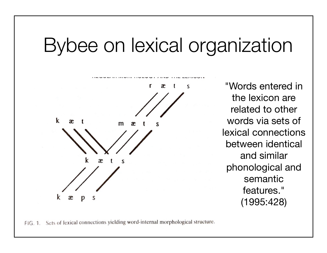### Bybee on lexical organization



"Words entered in the lexicon are related to other words via sets of lexical connections between identical and similar phonological and semantic features." (1995:428)

FIG. 1. Sets of lexical connections yielding word-internal morphological structure.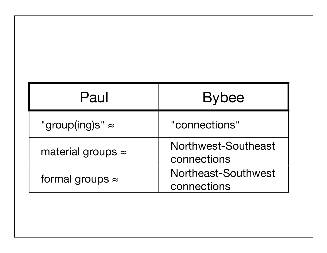| Paul                      | <b>Bybee</b>                       |
|---------------------------|------------------------------------|
| "group(ing)s" $\approx$   | "connections"                      |
| material groups $\approx$ | Northwest-Southeast<br>connections |
| formal groups $\approx$   | Northeast-Southwest<br>connections |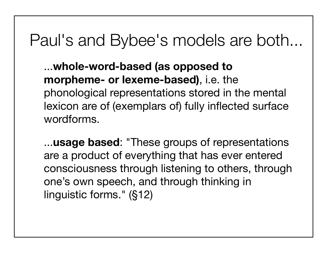#### Paul's and Bybee's models are both...

...**whole-word-based (as opposed to morpheme- or lexeme-based)**, i.e. the phonological representations stored in the mental lexicon are of (exemplars of) fully inflected surface wordforms.

...**usage based**: "These groups of representations are a product of everything that has ever entered consciousness through listening to others, through one's own speech, and through thinking in linguistic forms." (§12)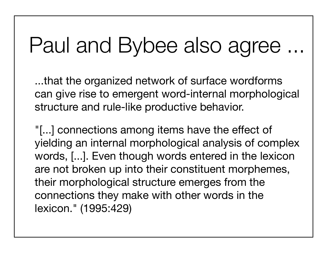## Paul and Bybee also agree ...

...that the organized network of surface wordforms can give rise to emergent word-internal morphological structure and rule-like productive behavior.

"[...] connections among items have the effect of yielding an internal morphological analysis of complex words, [...]. Even though words entered in the lexicon are not broken up into their constituent morphemes, their morphological structure emerges from the connections they make with other words in the lexicon." (1995:429)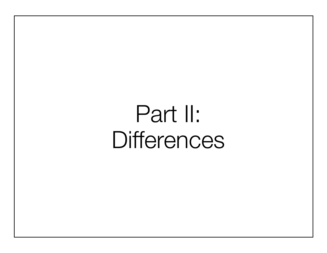# Part II: **Differences**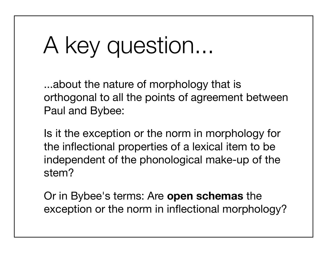# A key question...

...about the nature of morphology that is orthogonal to all the points of agreement between Paul and Bybee:

Is it the exception or the norm in morphology for the inflectional properties of a lexical item to be independent of the phonological make-up of the stem?

Or in Bybee's terms: Are **open schemas** the exception or the norm in inflectional morphology?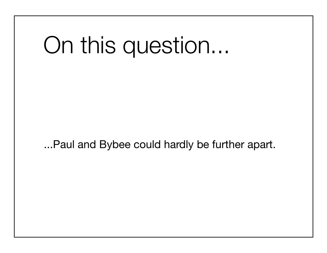# On this question...

...Paul and Bybee could hardly be further apart.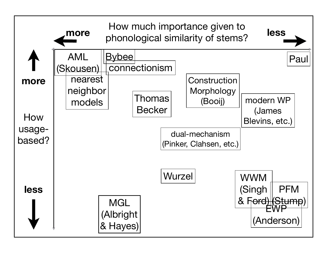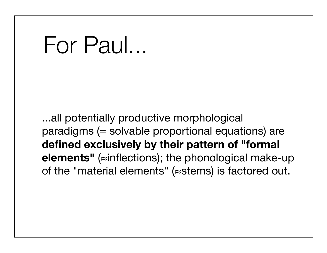## For Paul...

...all potentially productive morphological paradigms (= solvable proportional equations) are **defined exclusively by their pattern of "formal elements"** (≈inflections); the phonological make-up of the "material elements" (≈stems) is factored out.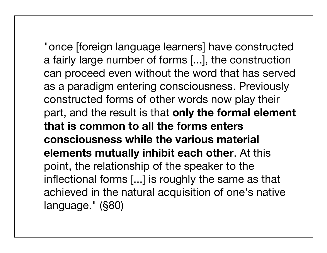"once [foreign language learners] have constructed a fairly large number of forms [...], the construction can proceed even without the word that has served as a paradigm entering consciousness. Previously constructed forms of other words now play their part, and the result is that **only the formal element that is common to all the forms enters consciousness while the various material elements mutually inhibit each other**. At this point, the relationship of the speaker to the inflectional forms [...] is roughly the same as that achieved in the natural acquisition of one's native language." (§80)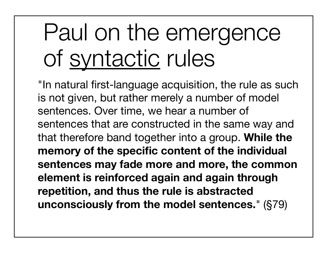# Paul on the emergence of syntactic rules

"In natural first-language acquisition, the rule as such is not given, but rather merely a number of model sentences. Over time, we hear a number of sentences that are constructed in the same way and that therefore band together into a group. **While the memory of the specific content of the individual sentences may fade more and more, the common element is reinforced again and again through repetition, and thus the rule is abstracted unconsciously from the model sentences.**" (§79)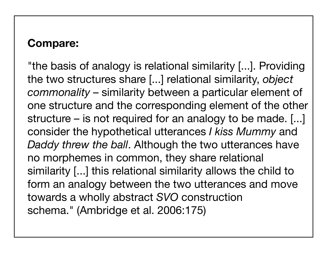#### **Compare:**

"the basis of analogy is relational similarity [...]. Providing the two structures share [...] relational similarity, *object commonality* – similarity between a particular element of one structure and the corresponding element of the other structure – is not required for an analogy to be made. [...] consider the hypothetical utterances *I kiss Mummy* and *Daddy threw the ball*. Although the two utterances have no morphemes in common, they share relational similarity [...] this relational similarity allows the child to form an analogy between the two utterances and move towards a wholly abstract *SVO* construction schema." (Ambridge et al. 2006:175)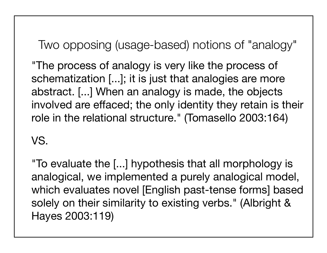Two opposing (usage-based) notions of "analogy"

"The process of analogy is very like the process of schematization [...]; it is just that analogies are more abstract. [...] When an analogy is made, the objects involved are effaced; the only identity they retain is their role in the relational structure." (Tomasello 2003:164)

VS.

"To evaluate the [...] hypothesis that all morphology is analogical, we implemented a purely analogical model, which evaluates novel [English past-tense forms] based solely on their similarity to existing verbs." (Albright & Hayes 2003:119)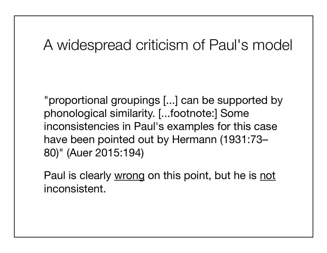#### A widespread criticism of Paul's model

"proportional groupings [...] can be supported by phonological similarity. [...footnote:] Some inconsistencies in Paul's examples for this case have been pointed out by Hermann (1931:73– 80)" (Auer 2015:194)

Paul is clearly wrong on this point, but he is not inconsistent.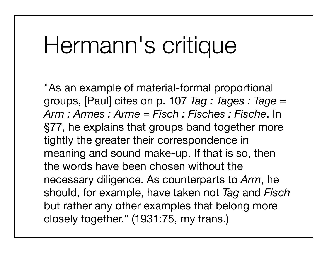## Hermann's critique

"As an example of material-formal proportional groups, [Paul] cites on p. 107 *Tag : Tages : Tage* = *Arm : Armes : Arme* = *Fisch : Fisches : Fische*. In §77, he explains that groups band together more tightly the greater their correspondence in meaning and sound make-up. If that is so, then the words have been chosen without the necessary diligence. As counterparts to *Arm*, he should, for example, have taken not *Tag* and *Fisch* but rather any other examples that belong more closely together." (1931:75, my trans.)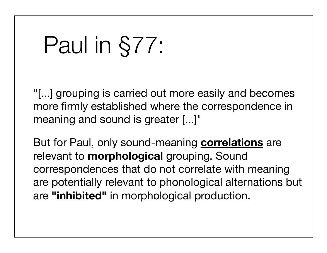# Paul in §77:

"[...] grouping is carried out more easily and becomes more firmly established where the correspondence in meaning and sound is greater [...]"

But for Paul, only sound-meaning **correlations** are relevant to **morphological** grouping. Sound correspondences that do not correlate with meaning are potentially relevant to phonological alternations but are **"inhibited"** in morphological production.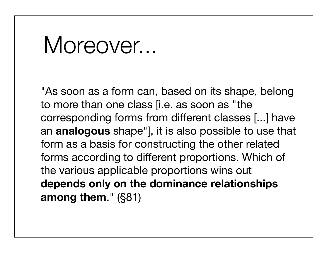## Moreover...

"As soon as a form can, based on its shape, belong to more than one class [i.e. as soon as "the corresponding forms from different classes [...] have an **analogous** shape"], it is also possible to use that form as a basis for constructing the other related forms according to different proportions. Which of the various applicable proportions wins out **depends only on the dominance relationships among them**." (§81)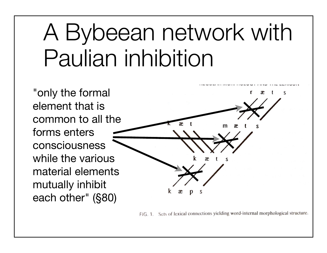# A Bybeean network with Paulian inhibition

"only the formal element that is common to all the forms enters consciousness while the various material elements mutually inhibit each other" (§80)

FIG. 1. Sets of lexical connections yielding word-internal morphological structure.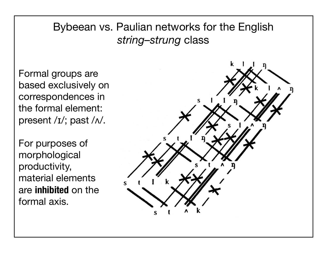#### Bybeean vs. Paulian networks for the English *string–strung* class

Formal groups are based exclusively on correspondences in the formal element: present /ɪ/; past /ʌ/.

For purposes of morphological productivity, material elements are **inhibited** on the formal axis.

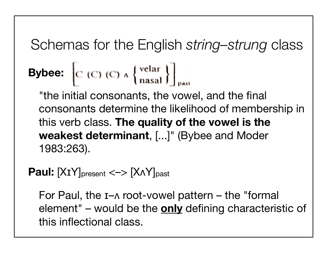#### Schemas for the English *string–strung* class

### **Bybee:**  $\left| C \right( C \right) (C) \wedge \left\{ \frac{\text{velar}}{\text{nasal}} \right\} \Big|_{\text{ext}}$

"the initial consonants, the vowel, and the final consonants determine the likelihood of membership in this verb class. **The quality of the vowel is the weakest determinant**, [...]" (Bybee and Moder 1983:263).

#### **Paul:**  $[XIY]_{\text{present}} \leq -\frac{1}{2} [XAY]_{\text{past}}$

For Paul, the ɪ–ʌ root-vowel pattern – the "formal element" – would be the **only** defining characteristic of this inflectional class.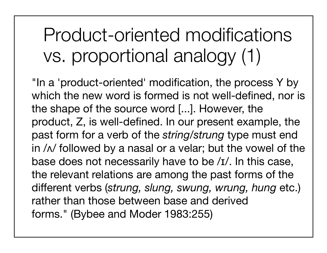### Product-oriented modifications vs. proportional analogy (1)

"In a 'product-oriented' modification, the process Y by which the new word is formed is not well-defined, nor is the shape of the source word [...]. However, the product, Z, is well-defined. In our present example, the past form for a verb of the *string/strung* type must end in  $\sqrt{\frac{1}{\sqrt{2}}}$  followed by a nasal or a velar; but the vowel of the base does not necessarily have to be /ɪ/. In this case, the relevant relations are among the past forms of the different verbs (*strung, slung, swung, wrung, hung* etc.) rather than those between base and derived forms." (Bybee and Moder 1983:255)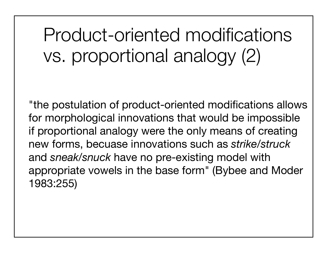Product-oriented modifications vs. proportional analogy (2)

"the postulation of product-oriented modifications allows for morphological innovations that would be impossible if proportional analogy were the only means of creating new forms, becuase innovations such as *strike/struck* and *sneak/snuck* have no pre-existing model with appropriate vowels in the base form" (Bybee and Moder 1983:255)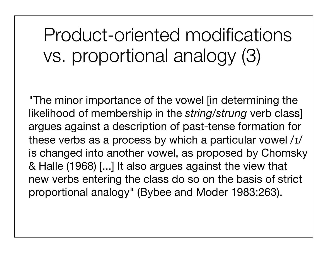Product-oriented modifications vs. proportional analogy (3)

"The minor importance of the vowel [in determining the likelihood of membership in the *string/strung* verb class] argues against a description of past-tense formation for these verbs as a process by which a particular vowel /ɪ/ is changed into another vowel, as proposed by Chomsky & Halle (1968) [...] It also argues against the view that new verbs entering the class do so on the basis of strict proportional analogy" (Bybee and Moder 1983:263).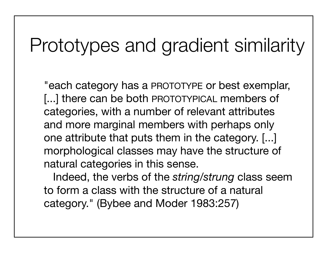#### Prototypes and gradient similarity

"each category has a PROTOTYPE or best exemplar, [...] there can be both PROTOTYPICAL members of categories, with a number of relevant attributes and more marginal members with perhaps only one attribute that puts them in the category. [...] morphological classes may have the structure of natural categories in this sense.

 Indeed, the verbs of the *string/strung* class seem to form a class with the structure of a natural category." (Bybee and Moder 1983:257)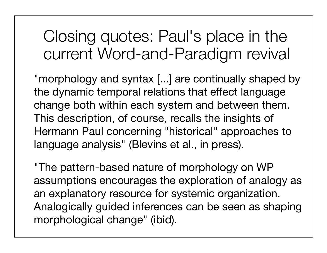Closing quotes: Paul's place in the current Word-and-Paradigm revival

"morphology and syntax [...] are continually shaped by the dynamic temporal relations that effect language change both within each system and between them. This description, of course, recalls the insights of Hermann Paul concerning "historical" approaches to language analysis" (Blevins et al., in press).

"The pattern-based nature of morphology on WP assumptions encourages the exploration of analogy as an explanatory resource for systemic organization. Analogically guided inferences can be seen as shaping morphological change" (ibid).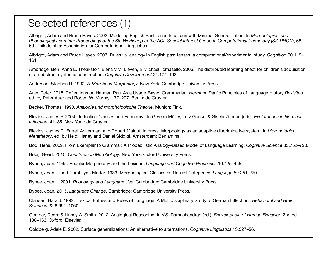#### Selected references (1)

Albright, Adam and Bruce Hayes. 2002. Modeling English Past Tense Intuitions with Minimal Generalization. In *Morphological and Phonological Learning: Proceedings of the 6th Workshop of the ACL Special Interest Group in Computational Phonology (SIGPHON)*, 58– 69. Philadelphia: Association for Computational Linguistics.

Albright, Adam and Bruce Hayes. 2003. Rules vs. analogy in English past tenses: a computational/experimental study. *Cognition* 90.119– 161.

Ambridge, Ben, Anna L. Theakston, Elena V.M. Lieven, & Michael Tomasello. 2006. The distributed learning effect for children's acquisition of an abstract syntactic construction. *Cognitive Development* 21.174–193.

Anderson, Stephen R. 1992. *A-Morphous Morphology*. New York: Cambridge University Press.

Auer, Peter. 2015. Reflections on Herman Paul As a Usage-Based Grammarian, *Hermann Paul's* Principles of Language History *Revisited*, ed. by Peter Auer and Robert W. Murray, 177–207. Berlin: de Gruyter.

Becker, Thomas. 1990. *Analogie und morphologische Theorie*. Munich: Fink.

Blevins, James P. 2004. 'Inflection Classes and Economy'. In Gereon Müller, Lutz Gunkel & Gisela Zifonun (eds), *Explorations in Nominal Inflection*, 41–85. New York: de Gruyter.

Blevins, James P., Farrell Ackerman, and Robert Malouf. in press. Morphology as an adaptive discriminative system. In *Morphological Metatheory*, ed. by Heidi Harley and Daniel Siddiqi. Amsterdam: Benjamins.

Bod, Rens. 2009. From Exemplar to Grammar: A Probabilistic Analogy-Based Model of Language Learning. *Cognitive Science* 33.752–793.

Booij, Geert. 2010. *Construction Morphology*. New York: Oxford University Press.

Bybee, Joan. 1995. Regular Morphology and the Lexicon. *Language and Cognitive Processes* 10.425–455.

Bybee, Joan L. and Carol Lynn Moder. 1983. Morphological Classes as Natural Categories. *Language* 59.251-270.

Bybee, Joan L. 2001. *Phonology and Language Use*. Cambridge: Cambridge University Press.

Bybee, Joan. 2015. *Language Change*. Cambridge: Cambridge University Press.

Clahsen, Harald. 1999. 'Lexical Entries and Rules of Language: A Multidisciplinary Study of German Inflection'. *Behavioral and Brain Sciences* 22:6.991–1060.

Gentner, Dedre & Linsey A. Smith. 2012. Analogical Reasoning. In V.S. Ramachandran (ed.), *Encyclopedia of Human Behavior*, 2nd ed., 130–136. Oxford: Elsevier.

Goldberg, Adele E. 2002. Surface generalizations: An alternative to alternations. *Cognitive Linguistics* 13.327–56.